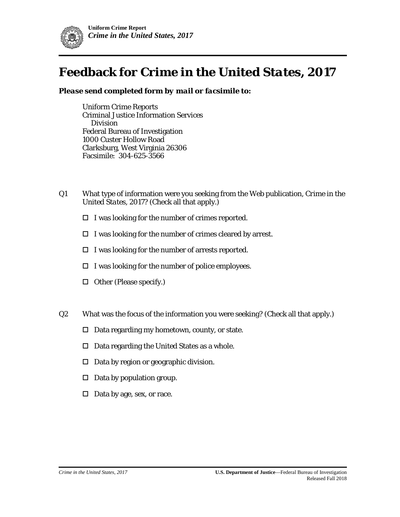

## **Feedback for** *Crime in the United States, 2017*

## *Please send completed form by mail or facsimile to:*

Uniform Crime Reports Criminal Justice Information Services Division Federal Bureau of Investigation 1000 Custer Hollow Road Clarksburg, West Virginia 26306 Facsimile: 304-625-3566

- Q1 What type of information were you seeking from the Web publication, *Crime in the United States, 2017*? (Check all that apply.)
	- $\Box$  I was looking for the number of crimes reported.
	- $\Box$  I was looking for the number of crimes cleared by arrest.
	- $\Box$  I was looking for the number of arrests reported.
	- $\Box$  I was looking for the number of police employees.
	- $\Box$  Other (Please specify.)
- Q2 What was the focus of the information you were seeking? (Check all that apply.)
	- $\Box$  Data regarding my hometown, county, or state.
	- $\Box$  Data regarding the United States as a whole.
	- $\Box$  Data by region or geographic division.
	- $\Box$  Data by population group.
	- $\Box$  Data by age, sex, or race.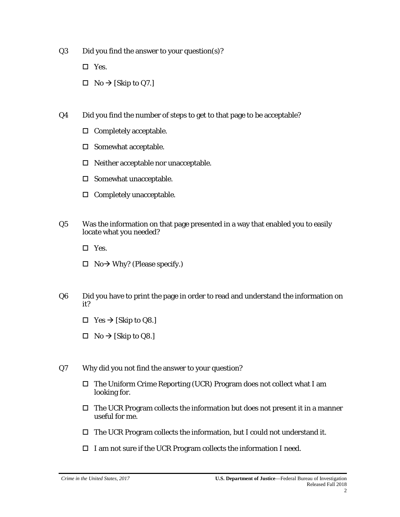- Q3 Did you find the answer to your question(s)?
	- $\square$  Yes.
	- $\Box$  No  $\rightarrow$  [Skip to Q7.]
- Q4 Did you find the number of steps to get to that page to be acceptable?
	- $\Box$  Completely acceptable.
	- $\square$  Somewhat acceptable.
	- $\Box$  Neither acceptable nor unacceptable.
	- $\square$  Somewhat unacceptable.
	- $\Box$  Completely unacceptable.
- Q5 Was the information on that page presented in a way that enabled you to easily locate what you needed?
	- $\Box$  Yes.
	- $\Box$  No  $\rightarrow$  Why? (Please specify.)
- Q6 Did you have to print the page in order to read and understand the information on it?
	- $\Box$  Yes  $\rightarrow$  [Skip to Q8.]
	- $\Box$  No  $\rightarrow$  [Skip to Q8.]
- Q7 Why did you not find the answer to your question?
	- $\Box$  The Uniform Crime Reporting (UCR) Program does not collect what I am looking for.
	- $\Box$  The UCR Program collects the information but does not present it in a manner useful for me.
	- $\Box$  The UCR Program collects the information, but I could not understand it.
	- $\Box$  I am not sure if the UCR Program collects the information I need.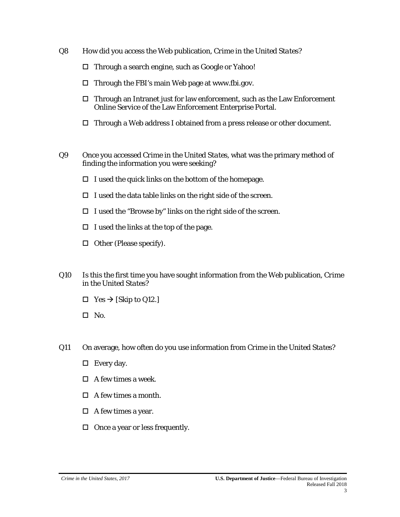- Q8 How did you access the Web publication, *Crime in the United States*?
	- $\Box$  Through a search engine, such as Google or Yahoo!
	- $\Box$  Through the FBI's main Web page at www.fbi.gov.
	- $\Box$  Through an Intranet just for law enforcement, such as the Law Enforcement Online Service of the Law Enforcement Enterprise Portal.
	- Through a Web address I obtained from a press release or other document.
- Q9 Once you accessed *Crime in the United States*, what was the primary method of finding the information you were seeking?
	- $\Box$  I used the quick links on the bottom of the homepage.
	- $\Box$  I used the data table links on the right side of the screen.
	- $\Box$  I used the "Browse by" links on the right side of the screen.
	- $\Box$  I used the links at the top of the page.
	- $\Box$  Other (Please specify).
- Q10 Is this the first time you have sought information from the Web publication, *Crime in the United States*?
	- $\Box$  Yes  $\rightarrow$  [Skip to Q12.]
	- $\square$  No.
- Q11 On average, how often do you use information from *Crime in the United States*?
	- $\Box$  Every day.
	- $\Box$  A few times a week.
	- □ A few times a month.
	- $\Box$  A few times a year.
	- $\Box$  Once a year or less frequently.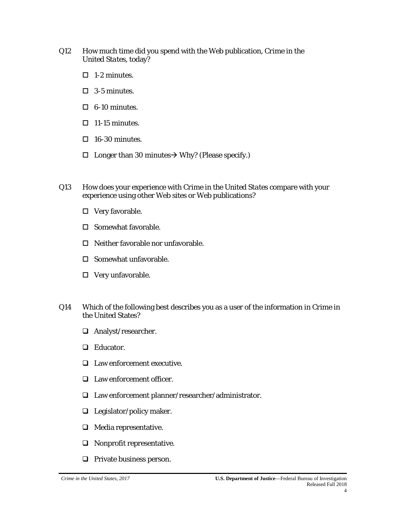- Q12 How much time did you spend with the Web publication, *Crime in the United States,* today?
	- $\Box$  1-2 minutes.
	- $\Box$  3-5 minutes.
	- $\Box$  6-10 minutes.
	- $\Box$  11-15 minutes.
	- $\Box$  16-30 minutes.
	- $\Box$  Longer than 30 minutes  $\rightarrow$  Why? (Please specify.)
- Q13 How does your experience with *Crime in the United States* compare with your experience using other Web sites or Web publications?
	- $\Box$  Very favorable.
	- $\square$  Somewhat favorable.
	- $\Box$  Neither favorable nor unfavorable.
	- $\square$  Somewhat unfavorable.
	- Very unfavorable.
- Q14 Which of the following best describes you as a user of the information in *Crime in the United* States?
	- Analyst/researcher.
	- □ Educator.
	- □ Law enforcement executive.
	- □ Law enforcement officer.
	- Law enforcement planner/researcher/administrator.
	- $\Box$  Legislator/policy maker.
	- $\Box$  Media representative.
	- □ Nonprofit representative.
	- **Q** Private business person.